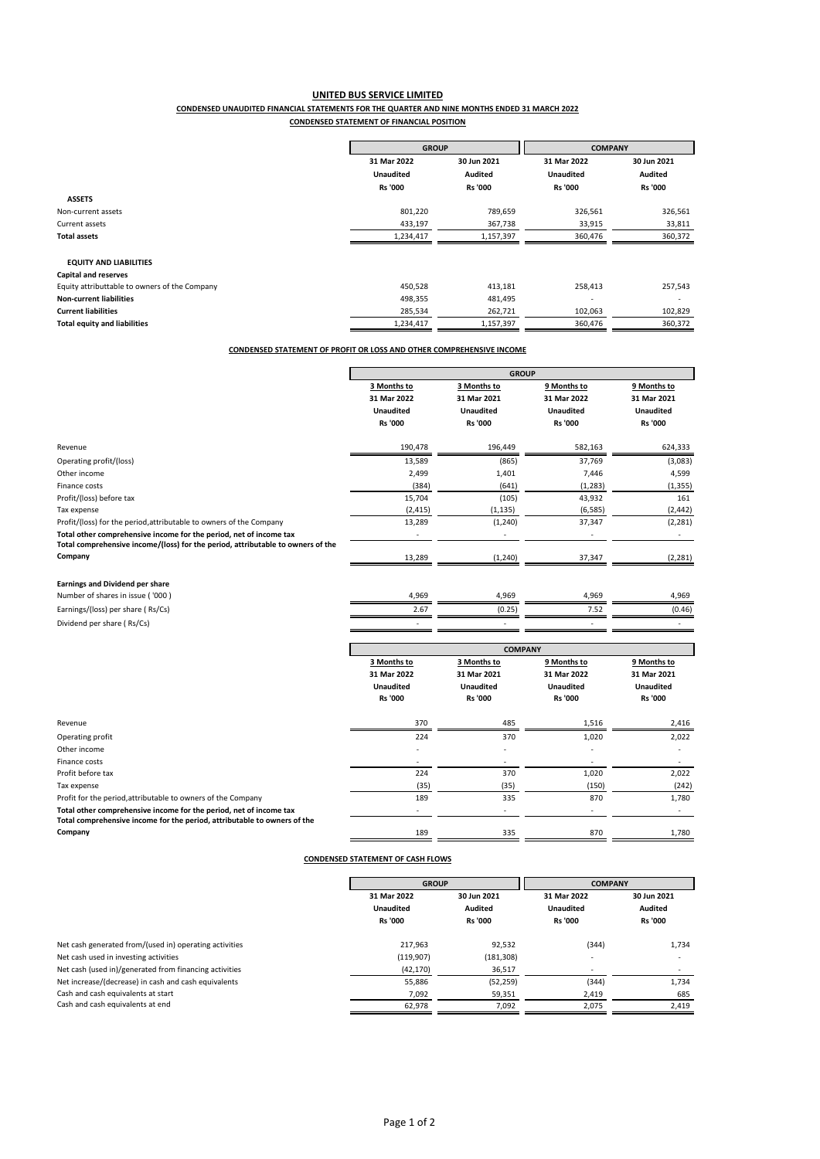### **UNITED BUS SERVICE LIMITED CONDENSED UNAUDITED FINANCIAL STATEMENTS FOR THE QUARTER AND NINE MONTHS ENDED 31 MARCH 2022 CONDENSED STATEMENT OF FINANCIAL POSITION**

|                                               | <b>GROUP</b>     |                | <b>COMPANY</b>   |                |
|-----------------------------------------------|------------------|----------------|------------------|----------------|
|                                               | 31 Mar 2022      | 30 Jun 2021    | 31 Mar 2022      | 30 Jun 2021    |
|                                               | <b>Unaudited</b> | Audited        | <b>Unaudited</b> | Audited        |
|                                               | <b>Rs '000</b>   | <b>Rs '000</b> | <b>Rs '000</b>   | <b>Rs '000</b> |
| <b>ASSETS</b>                                 |                  |                |                  |                |
| Non-current assets                            | 801,220          | 789,659        | 326,561          | 326,561        |
| Current assets                                | 433,197          | 367,738        | 33,915           | 33,811         |
| <b>Total assets</b>                           | 1,234,417        | 1,157,397      | 360,476          | 360,372        |
|                                               |                  |                |                  |                |
| <b>EQUITY AND LIABILITIES</b>                 |                  |                |                  |                |
| <b>Capital and reserves</b>                   |                  |                |                  |                |
| Equity attributtable to owners of the Company | 450,528          | 413,181        | 258,413          | 257,543        |
| <b>Non-current liabilities</b>                | 498,355          | 481,495        |                  |                |
| <b>Current liabilities</b>                    | 285,534          | 262,721        | 102,063          | 102,829        |
| Total equity and liabilities                  | 1,234,417        | 1,157,397      | 360,476          | 360,372        |

# **CONDENSED STATEMENT OF PROFIT OR LOSS AND OTHER COMPREHENSIVE INCOME**

|                                                                                 | <b>GROUP</b>     |                            |                  |                  |  |  |
|---------------------------------------------------------------------------------|------------------|----------------------------|------------------|------------------|--|--|
|                                                                                 | 3 Months to      | 3 Months to<br>9 Months to |                  | 9 Months to      |  |  |
|                                                                                 | 31 Mar 2022      | 31 Mar 2021                | 31 Mar 2022      | 31 Mar 2021      |  |  |
|                                                                                 | <b>Unaudited</b> | <b>Unaudited</b>           | <b>Unaudited</b> | <b>Unaudited</b> |  |  |
|                                                                                 | <b>Rs '000</b>   | <b>Rs '000</b>             | <b>Rs '000</b>   | <b>Rs '000</b>   |  |  |
| Revenue                                                                         | 190,478          | 196,449                    | 582,163          | 624,333          |  |  |
| Operating profit/(loss)                                                         | 13,589           | (865)                      | 37,769           | (3,083)          |  |  |
| Other income                                                                    | 2,499            | 1,401                      | 7,446            | 4,599            |  |  |
| Finance costs                                                                   | (384)            | (641)                      | (1, 283)         | (1, 355)         |  |  |
| Profit/(loss) before tax                                                        | 15,704           | (105)                      | 43,932           | 161              |  |  |
| Tax expense                                                                     | (2, 415)         | (1, 135)                   | (6, 585)         | (2, 442)         |  |  |
| Profit/(loss) for the period, attributable to owners of the Company             | 13,289           | (1, 240)                   | 37,347           | (2, 281)         |  |  |
| Total other comprehensive income for the period, net of income tax              | $\sim$           | ۰                          |                  |                  |  |  |
| Total comprehensive income/(loss) for the period, attributable to owners of the |                  |                            |                  |                  |  |  |
| Company                                                                         | 13,289           | (1, 240)                   | 37,347           | (2, 281)         |  |  |
|                                                                                 |                  |                            |                  |                  |  |  |

## **Earnings and Dividend per share**

| Number of shares in issue ('000)  | 4.969 | 4.969  | 969،، | 4.969  |
|-----------------------------------|-------|--------|-------|--------|
| Earnings/(loss) per share (Rs/Cs) | 2.67  | (0.25) |       | (0.46) |
| Dividend per share (Rs/Cs)        |       |        |       |        |
|                                   |       |        |       |        |

|                                                                          | <b>COMPANY</b>             |                          |                          |                  |  |  |
|--------------------------------------------------------------------------|----------------------------|--------------------------|--------------------------|------------------|--|--|
|                                                                          | 3 Months to<br>3 Months to |                          | 9 Months to              | 9 Months to      |  |  |
|                                                                          | 31 Mar 2022                | 31 Mar 2021              | 31 Mar 2022              | 31 Mar 2021      |  |  |
|                                                                          | <b>Unaudited</b>           | <b>Unaudited</b>         | <b>Unaudited</b>         | <b>Unaudited</b> |  |  |
|                                                                          | <b>Rs '000</b>             | <b>Rs '000</b>           | <b>Rs '000</b>           | <b>Rs '000</b>   |  |  |
| Revenue                                                                  | 370                        | 485                      | 1,516                    | 2,416            |  |  |
| Operating profit                                                         | 224                        | 370                      | 1,020                    | 2,022            |  |  |
| Other income                                                             | ٠                          |                          |                          |                  |  |  |
| Finance costs                                                            | $\overline{\phantom{a}}$   |                          |                          |                  |  |  |
| Profit before tax                                                        | 224                        | 370                      | 1,020                    | 2,022            |  |  |
| Tax expense                                                              | (35)                       | (35)                     | (150)                    | (242)            |  |  |
| Profit for the period, attributable to owners of the Company             | 189                        | 335                      | 870                      | 1,780            |  |  |
| Total other comprehensive income for the period, net of income tax       | ٠                          | $\overline{\phantom{a}}$ | $\overline{\phantom{a}}$ |                  |  |  |
| Total comprehensive income for the period, attributable to owners of the |                            |                          |                          |                  |  |  |
| Company                                                                  | 189                        | 335                      | 870                      | 1,780            |  |  |
|                                                                          |                            |                          |                          |                  |  |  |

## **CONDENSED STATEMENT OF CASH FLOWS**

|                                                        | <b>GROUP</b>               |                | <b>COMPANY</b>           |                |  |
|--------------------------------------------------------|----------------------------|----------------|--------------------------|----------------|--|
|                                                        | 31 Mar 2022<br>30 Jun 2021 |                | 31 Mar 2022              | 30 Jun 2021    |  |
|                                                        | <b>Unaudited</b>           | Audited        | <b>Unaudited</b>         | <b>Audited</b> |  |
|                                                        | <b>Rs '000</b>             | <b>Rs '000</b> | <b>Rs '000</b>           | <b>Rs '000</b> |  |
| Net cash generated from/(used in) operating activities | 217.963                    | 92,532         | (344)                    | 1,734          |  |
| Net cash used in investing activities                  | (119,907)                  | (181, 308)     | $\overline{\phantom{a}}$ |                |  |
| Net cash (used in)/generated from financing activities | (42, 170)                  | 36,517         | ٠                        |                |  |
| Net increase/(decrease) in cash and cash equivalents   | 55,886                     | (52, 259)      | (344)                    | 1,734          |  |
| Cash and cash equivalents at start                     | 7,092                      | 59,351         | 2,419                    | 685            |  |
| Cash and cash equivalents at end                       | 62.978                     | 7,092          | 2,075                    | 2,419          |  |